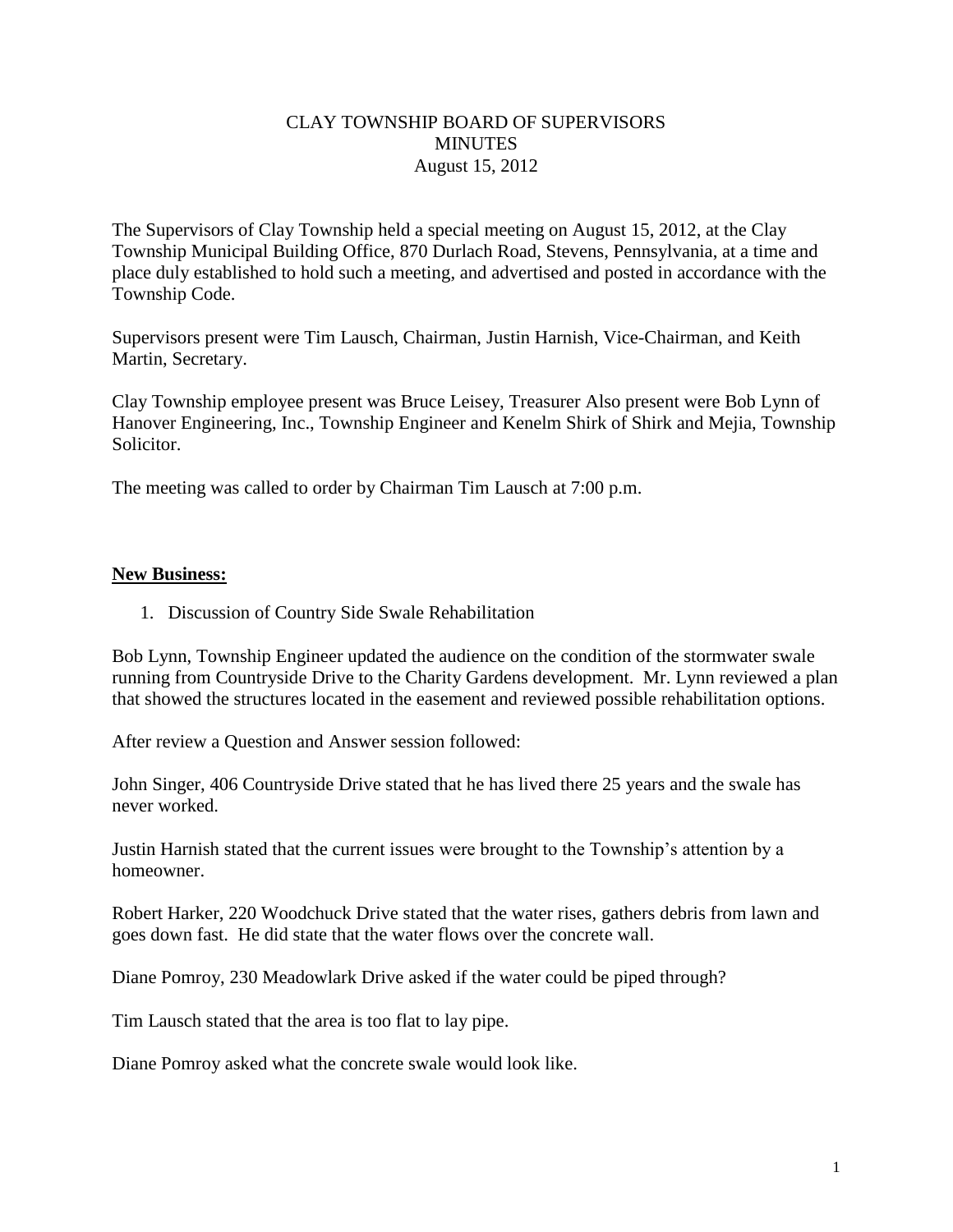## CLAY TOWNSHIP BOARD OF SUPERVISORS **MINUTES** August 15, 2012

The Supervisors of Clay Township held a special meeting on August 15, 2012, at the Clay Township Municipal Building Office, 870 Durlach Road, Stevens, Pennsylvania, at a time and place duly established to hold such a meeting, and advertised and posted in accordance with the Township Code.

Supervisors present were Tim Lausch, Chairman, Justin Harnish, Vice-Chairman, and Keith Martin, Secretary.

Clay Township employee present was Bruce Leisey, Treasurer Also present were Bob Lynn of Hanover Engineering, Inc., Township Engineer and Kenelm Shirk of Shirk and Mejia, Township Solicitor.

The meeting was called to order by Chairman Tim Lausch at 7:00 p.m.

## **New Business:**

1. Discussion of Country Side Swale Rehabilitation

Bob Lynn, Township Engineer updated the audience on the condition of the stormwater swale running from Countryside Drive to the Charity Gardens development. Mr. Lynn reviewed a plan that showed the structures located in the easement and reviewed possible rehabilitation options.

After review a Question and Answer session followed:

John Singer, 406 Countryside Drive stated that he has lived there 25 years and the swale has never worked.

Justin Harnish stated that the current issues were brought to the Township's attention by a homeowner.

Robert Harker, 220 Woodchuck Drive stated that the water rises, gathers debris from lawn and goes down fast. He did state that the water flows over the concrete wall.

Diane Pomroy, 230 Meadowlark Drive asked if the water could be piped through?

Tim Lausch stated that the area is too flat to lay pipe.

Diane Pomroy asked what the concrete swale would look like.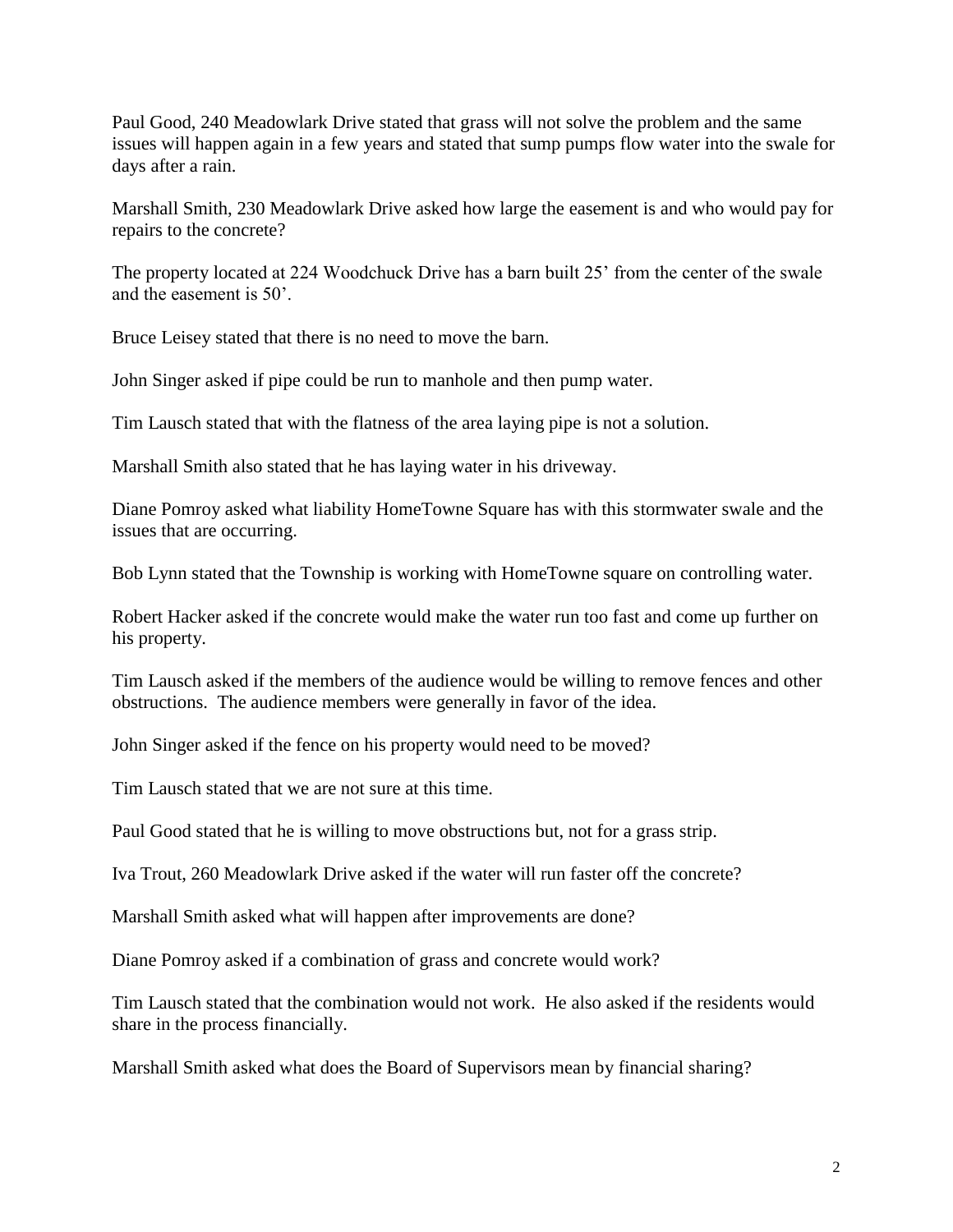Paul Good, 240 Meadowlark Drive stated that grass will not solve the problem and the same issues will happen again in a few years and stated that sump pumps flow water into the swale for days after a rain.

Marshall Smith, 230 Meadowlark Drive asked how large the easement is and who would pay for repairs to the concrete?

The property located at 224 Woodchuck Drive has a barn built 25' from the center of the swale and the easement is 50'.

Bruce Leisey stated that there is no need to move the barn.

John Singer asked if pipe could be run to manhole and then pump water.

Tim Lausch stated that with the flatness of the area laying pipe is not a solution.

Marshall Smith also stated that he has laying water in his driveway.

Diane Pomroy asked what liability HomeTowne Square has with this stormwater swale and the issues that are occurring.

Bob Lynn stated that the Township is working with HomeTowne square on controlling water.

Robert Hacker asked if the concrete would make the water run too fast and come up further on his property.

Tim Lausch asked if the members of the audience would be willing to remove fences and other obstructions. The audience members were generally in favor of the idea.

John Singer asked if the fence on his property would need to be moved?

Tim Lausch stated that we are not sure at this time.

Paul Good stated that he is willing to move obstructions but, not for a grass strip.

Iva Trout, 260 Meadowlark Drive asked if the water will run faster off the concrete?

Marshall Smith asked what will happen after improvements are done?

Diane Pomroy asked if a combination of grass and concrete would work?

Tim Lausch stated that the combination would not work. He also asked if the residents would share in the process financially.

Marshall Smith asked what does the Board of Supervisors mean by financial sharing?